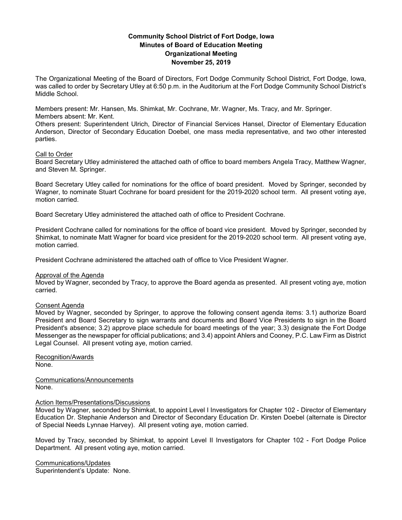# **Community School District of Fort Dodge, Iowa Minutes of Board of Education Meeting Organizational Meeting November 25, 2019**

The Organizational Meeting of the Board of Directors, Fort Dodge Community School District, Fort Dodge, Iowa, was called to order by Secretary Utley at 6:50 p.m. in the Auditorium at the Fort Dodge Community School District's Middle School.

Members present: Mr. Hansen, Ms. Shimkat, Mr. Cochrane, Mr. Wagner, Ms. Tracy, and Mr. Springer. Members absent: Mr. Kent.

Others present: Superintendent Ulrich, Director of Financial Services Hansel, Director of Elementary Education Anderson, Director of Secondary Education Doebel, one mass media representative, and two other interested parties.

### Call to Order

Board Secretary Utley administered the attached oath of office to board members Angela Tracy, Matthew Wagner, and Steven M. Springer.

Board Secretary Utley called for nominations for the office of board president. Moved by Springer, seconded by Wagner, to nominate Stuart Cochrane for board president for the 2019-2020 school term. All present voting aye, motion carried.

Board Secretary Utley administered the attached oath of office to President Cochrane.

President Cochrane called for nominations for the office of board vice president. Moved by Springer, seconded by Shimkat, to nominate Matt Wagner for board vice president for the 2019-2020 school term. All present voting aye, motion carried.

President Cochrane administered the attached oath of office to Vice President Wagner.

### Approval of the Agenda

Moved by Wagner, seconded by Tracy, to approve the Board agenda as presented. All present voting aye, motion carried.

### Consent Agenda

Moved by Wagner, seconded by Springer, to approve the following consent agenda items: 3.1) authorize Board President and Board Secretary to sign warrants and documents and Board Vice Presidents to sign in the Board President's absence; 3.2) approve place schedule for board meetings of the year; 3.3) designate the Fort Dodge Messenger as the newspaper for official publications; and 3.4) appoint Ahlers and Cooney, P.C. Law Firm as District Legal Counsel. All present voting aye, motion carried.

Recognition/Awards None.

Communications/Announcements None.

### Action Items/Presentations/Discussions

Moved by Wagner, seconded by Shimkat, to appoint Level I Investigators for Chapter 102 - Director of Elementary Education Dr. Stephanie Anderson and Director of Secondary Education Dr. Kirsten Doebel (alternate is Director of Special Needs Lynnae Harvey). All present voting aye, motion carried.

Moved by Tracy, seconded by Shimkat, to appoint Level II Investigators for Chapter 102 - Fort Dodge Police Department. All present voting aye, motion carried.

Communications/Updates Superintendent's Update: None.